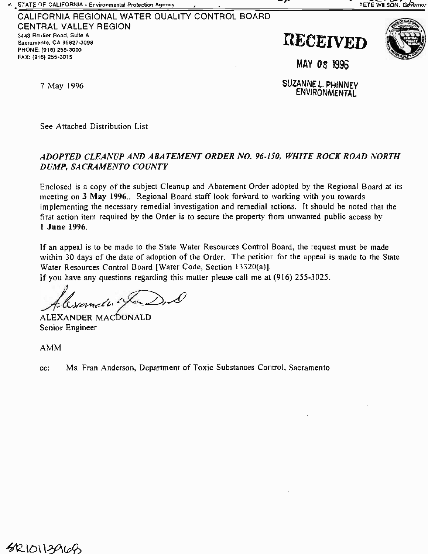Sacramento. CA 95827-3098 PHONE: (916) 255-3000 FAX: (916) 255-3015





MAY 08 1996

7 May 1996 SUZANNE L. PHINNEY **ENVIRONMENTAL** 

See Attached Distribution List

#### ADOPTED CLEANUP AND ABA TEMENT ORDER NO. 96-150, WhITE ROCK ROAD NORTH DUMP, SACRAMENTO COUNTY

Enclosed is a copy of the subject Cleanup and Abatement Order adopted by the Regional Board at its meeting on 3 May 1996.. Regional Board staff look forward to working with you towards implementing the necessary remedial investigation and remedial actions. It should be noted that the first action item required by the Order is to secure the property from unwanted public access by 1 June 1996.

If an appeal is to be made to the State Water Resources Control Board, the request must be made within 30 days of the date of adoption of the Order. The petition for the appeal is made to the State Water Resources Control Board [Water Code, Section 13320(a)].

If you have any questions regarding this matter please call me at (916) 255-3025.

Water Resources Control Board I water CN<br>If you have any questions regarding this n

ALEXANDER MACDONALD Senior Engineer

AMM

cc: Ms. Fran Anderson, Department of Toxic Substances Control, Sacramento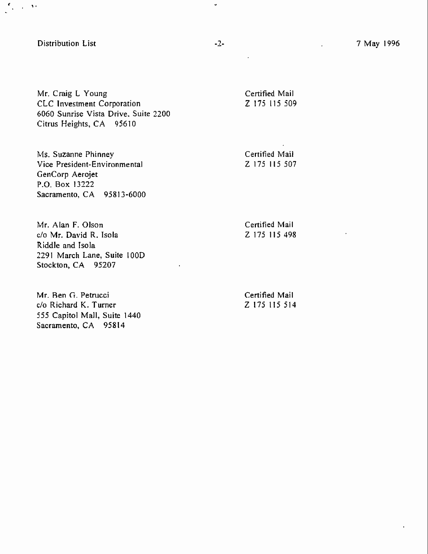Distribution List 7 May 1996

 $\mathbf{f}_{\mathbf{y},\mathbf{y},\mathbf{z}}$  and

Mr. Craig L Young CLC Investment Corporation 6060 Sunrise Vista Drive. Suite 2200 Citrus Heights, CA 95610

Ms. Suzanne Phinney Vice President-Environmental GenCorp Aerojet P.O. Box 13222 Sacramento, CA 95813-6000 Certified Mail Z 175 115 509

Certified Mail Z 175 115 507

Mr. Alan F. Olson c/o Mr. David R. Isola Riddle and Isola 2291 March Lane, Suite IOOD Stockton, CA 95207

Mr. Ben G. Petrucci c/o Richard K. Turner 555 Capitol Mall, Suite 1440 Sacramento, CA 95814

Certified Mail Z 175 115 498

Certified Mail Z 175 115 514

 $\mathcal{L}$ 

¥,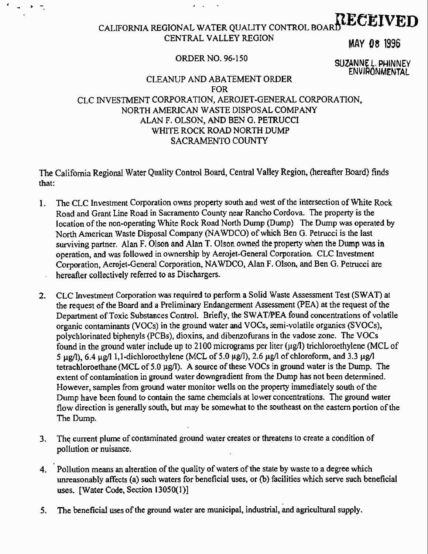# CALIFORNIA REGIONAL WATER QUALITY CONTROL BOARD CALIFORNIA REGIONAL WATER QUALITY CONTROL BOARD CENTRAL VALLEY REGION

## **MAY 08 1996**

# ORDER NO. 96-150 SUZANNEL. PHINNEY

 $\mathbf{f}$ 

ENVIRONMENTAL

#### CLEANUP AND ABATEMENT ORDER FOR CLC INVESTMENT CORPORATION, AEROJET-GENERAL CORPORATION, NORTH AMERICAN WASTE DISPOSAL COMPANY ALAN F. OLSON, AND BEN 0. PETRUCCI WHITE ROCK ROAD NORTH DUMP SACRAMENTO COUNTY

The California Regional Water Quality Control Board, Central Valley Region, (hereafter Board) finds that:

- The CLC Investment Corporation owns property south and west of the intersection of White Rock  $1.$ Road and Grant Line Road in Sacramento County near Rancho Cordova. The property is the location of the non-operating White Rock Road North Dump (Dump) The Dump was operated by North American Waste Disposal Company (NAWDCO) of which Ben G. Petrucci is the last surviving partner. Alan F. Olson and Alan T. Olson owned the property when the Dump was in operation, and was followed in ownership by Aerojet-General Corporation. CLC Investment Corporation, Aerojet-General Corporation, NAWDCO, Alan F. Olson, and Ben G. Petrucci are hereafter collectively referred to as Dischargers.
- 2. CLC Investment Corporation was required to perform a Solid Waste Assessment Test (SWAT) at the request of the Board and a Preliminary Endangerment Assessment (PEA) at the request of the Department of Toxic Substances Control. Briefly, the SWAT/PEA found concentrations of volatile organic contaminants (VOCs) in the ground water and VOCs, semi-volatile organics (SVOCs), polychlorinated biphenyls (PCBs), dioxins, and dibenzofurans in the vadose zone. The VOCs found in the ground water include up to 2100 micrograms per liter  $(\mu g/l)$  trichloroethylene (MCL of 5  $\mu$ g/l), 6.4  $\mu$ g/l 1,1-dichloroethylene (MCL of 5.0  $\mu$ g/l), 2.6  $\mu$ g/l of chloroform, and 3.3  $\mu$ g/l tetrachloroethane (MCL of 5.0  $\mu$ g/l). A source of these VOCs in ground water is the Dump. The extent of contamination in ground water downgradient from the Dump has not been determined. However, samples from ground water monitor wells on the property immediately south of the Dump have been found to contain the same chemcials at lower concentrations. The ground water flow direction is generally south, but may be somewhat to the southeast on the eastern portion of the The Dump.
- 3. The current plume of contaminated ground water creates or threatens to create a condition of pollution or nuisance.
- 4. Pollution means an alteration of the quality of waters of the state by waste to a degree which unreasonably affects (a) such waters for beneficial uses, or (b) facilities which serve such beneficial uses. [Water Code, Section 13050(1)]
- 5. The beneficial uses of the ground water are municipal, industrial, and agricultural supply.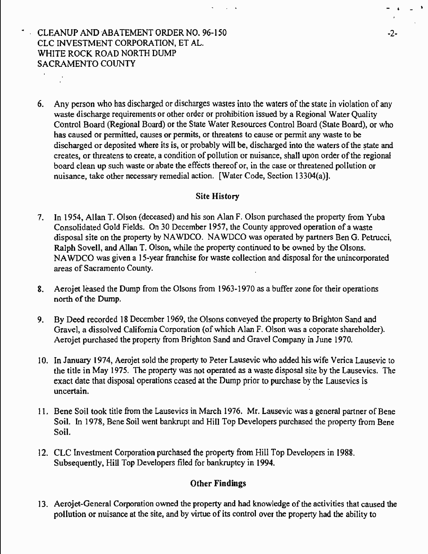### CLEANUP AND ABATEMENT ORDER NO. 96-150 CLC iNVESTMENT CORPORATION, ET AL. WHITE ROCK ROAD NORTH DUMP SACRAMENTO COUNTY

6. Any person who has discharged or discharges wastes into the waters of the state in violation of any waste discharge requirements or other order or prohibition issued by a Regional Water Quality Control Board (Regional Board) or the State Water Resources Control Board (State Board), or who has caused or permitted, causes or permits, or threatens to cause or permit any waste to be discharged or deposited where its is, or probably will be, discharged into the waters of the state and creates, or threatens to create, a condition of pollution or nuisance, shall upon order of the regional board clean up such waste or abate the effects thereof or, in the case or threatened pollution or nuisance, take other necessary remedial action. [Water Code, Section 13304(a)].

#### Site History

- 7. In 1954, Allan T. Olson (deceased) and his son Alan F. Olson purchased the property from Yuba Consolidated Gold Fields. On 30 December 1957, the County approved operation of a waste disposal site on the property by NAWDCO. NAWDCO was operated by partners Ben G. Petrucci, Ralph Sovell, and Allan T. Olson, while the property continued to be owned by the Olsons. NAWDCO was given a 15-year franchise for waste collection and disposal for the unincorporated areas of Sacramento County.
- 8. Aerojet leased the Dump from the Olsons from 1963-1970 as a buffer zone for their operations north of the Dump.
- 9. By Deed recorded 18 December 1969, the Olsons conveyed the property to Brighton Sand and Gravel, a dissolved California Corporation (of which Alan F. Olson was a coporate shareholder). Aerojet purchased the property from Brighton Sand and Gravel Company in June 1970.
- 10. In January 1974, Aerojet sold the property to Peter Lausevic who added his wife Verica Lausevic to the title in May 1975. The property was not operated as a waste disposal site by the Lausevics. The exact date that disposal operations ceased at the Dump prior to purchase by the Lausevics is uncertain.
- 11. Bene Soil took title from the Lausevics in March 1976. Mr. Lausevic was a general partner of Bene Soil. In 1978, Bene Soil went bankrupt and Hill Top Developers purchased the property from Bene Soil.
- 12. CLC Investment Corporation purchased the property from Hill Top Developers in 1988. Subsequently, Hill Top Developers filed for bankruptcy in 1994.

#### Other Findings

13. Aerojet-General Corporation owned the property and had knowledge of the activities that caused the pollution or nuisance at the site, and by virtue of its control over the property had the ability to

-2-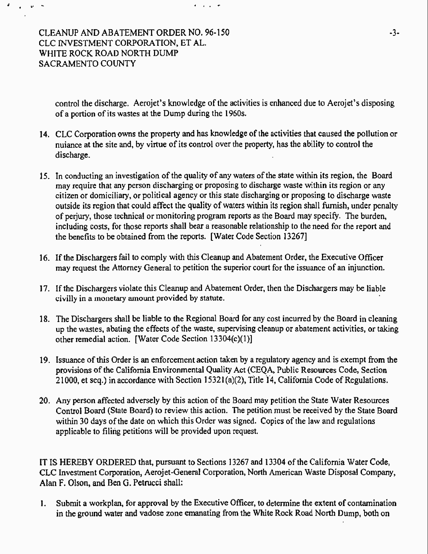CLEANUP AND ABATEMENT ORDER NO. 96-150 CLC [N VESTMENT CORPORATION, ET AL. WHITE ROCK ROAD NORTH DUMP SACRAMENTO COUNTY

 $\mathbf{J}$ 

 $\mathbf{y}^{\mathbf{r}}$ 

control the discharge. Aerojet's knowledge of the activities is enhanced due to Aerojet's disposing of a portion of its wastes at the Dump during the I 960s.

 $\mathcal{A}=\mathcal{A}=\mathcal{A}$ 

- 14. CLC Corporation owns the property and has knowledge of the activities that caused the pollution or nuiance at the site and, by virtue of its control over the property, has the ability to control the discharge.
- 15. In conducting an investigation of the quality of any waters of the state within its region, the Board may require that any person discharging or proposing to discharge waste within its region or any citizen or domiciliary, or political agency or this state discharging or proposing to discharge waste outside its region that could affect the quality of waters within its region shall furnish, under penalty of perjury, those technical or monitoring program reports as the Board may specify. The burden, including costs, for those reports shall bear a reasonable relationship to the need for the report and the benefits to be obtained from the reports. [Water Code Section 13267]
- 16. If the Dischargers fail to comply with this Cleanup and Abatement Order, the Executive Officer may request the Attorney General to petition the superior court for the issuance of an injunction.
- 17. If the Dischargers violate this Cleanup arid Abatement Order, then the Dischargers may be liable civilly in a monetary amount provided by statute.
- 18. The Dischargers shall be liable to the Regional Board for any cost incurred by the Board in cleaning up the wastes, abating the effects of the waste, supervising cleanup or abatement activities, or taking other remedial action. [Water Code Section 13304(c)(l)}
- 19. Issuance of this Order is an enforcement action taken by a regulatory agency and is exempt from the provisions of the California Environmental Quality Act (CEQA, Public Resources Code, Section 21000, et seq.) in accordance with Section 15321(a)(2), Title 14, California Code of Regulations.
- 20. Any person affected adversely by this action of the Board may petition the State Water Resources Control Board (State Board) to review this action. The petition must be received by the State Board within 30 days of the date on which this Order was signed. Copies of the law and regulations applicable to filing petitions will be provided upon request.

IT IS HEREBY ORDERED that, pursuant to Sections 13267 and 13304 of the California Water Code, CLC Investment Corporation, Aerojet-General Corporation, North American Waste Disposal Company, Alan F. Olson, and Ben G. Petrucci shall:

1. Submit a workplan, for approval by the Executive Officer, to determine the extent of contamination in the ground water and vadose zone emanating from the White Rock Road North Dump, both on